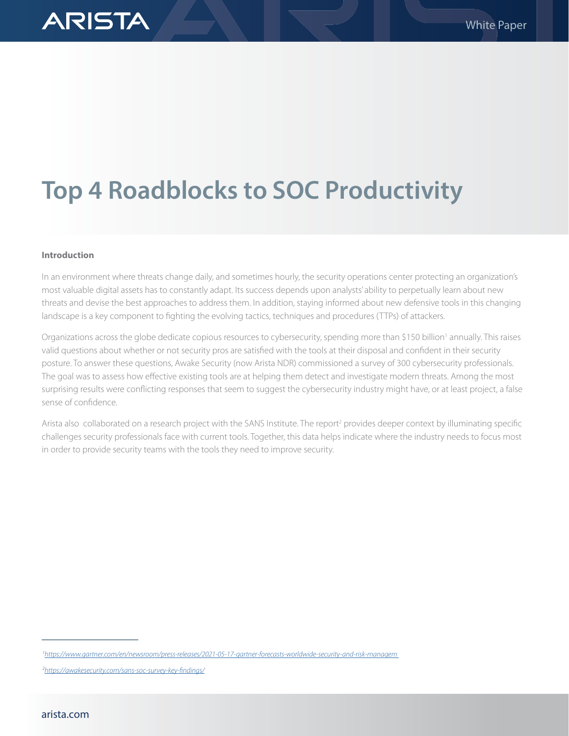# **Top 4 Roadblocks to SOC Productivity**

#### **Introduction**

**ARISTA** 

In an environment where threats change daily, and sometimes hourly, the security operations center protecting an organization's most valuable digital assets has to constantly adapt. Its success depends upon analysts' ability to perpetually learn about new threats and devise the best approaches to address them. In addition, staying informed about new defensive tools in this changing landscape is a key component to fighting the evolving tactics, techniques and procedures (TTPs) of attackers.

Organizations across the globe dedicate copious resources to cybersecurity, spending more than \$150 billion<sup>1</sup> annually. This raises valid questions about whether or not security pros are satisfied with the tools at their disposal and confident in their security posture. To answer these questions, Awake Security (now Arista NDR) commissioned a survey of 300 cybersecurity professionals. The goal was to assess how effective existing tools are at helping them detect and investigate modern threats. Among the most surprising results were conflicting responses that seem to suggest the cybersecurity industry might have, or at least project, a false sense of confidence.

Arista also collaborated on a research project with the SANS Institute. The report<sup>2</sup> provides deeper context by illuminating specific challenges security professionals face with current tools. Together, this data helps indicate where the industry needs to focus most in order to provide security teams with the tools they need to improve security.

 *<sup>1</sup><https://www.gartner.com/en/newsroom/press-releases/2021-05-17-gartner-forecasts-worldwide-security-and-risk-managem>*

 *<sup>2</sup><https://awakesecurity.com/sans-soc-survey-key-findings/>*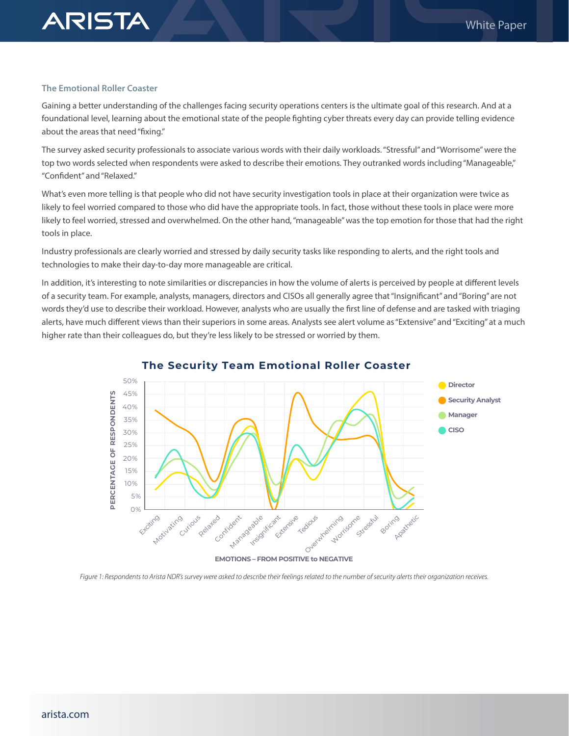#### **The Emotional Roller Coaster**

**ARISTA** 

Gaining a better understanding of the challenges facing security operations centers is the ultimate goal of this research. And at a foundational level, learning about the emotional state of the people fighting cyber threats every day can provide telling evidence about the areas that need "fixing."

The survey asked security professionals to associate various words with their daily workloads. "Stressful" and "Worrisome" were the top two words selected when respondents were asked to describe their emotions. They outranked words including "Manageable," "Confident" and "Relaxed."

What's even more telling is that people who did not have security investigation tools in place at their organization were twice as likely to feel worried compared to those who did have the appropriate tools. In fact, those without these tools in place were more likely to feel worried, stressed and overwhelmed. On the other hand, "manageable" was the top emotion for those that had the right tools in place.

Industry professionals are clearly worried and stressed by daily security tasks like responding to alerts, and the right tools and technologies to make their day-to-day more manageable are critical.

In addition, it's interesting to note similarities or discrepancies in how the volume of alerts is perceived by people at different levels of a security team. For example, analysts, managers, directors and CISOs all generally agree that "Insignificant" and "Boring" are not words they'd use to describe their workload. However, analysts who are usually the first line of defense and are tasked with triaging alerts, have much different views than their superiors in some areas. Analysts see alert volume as "Extensive" and "Exciting" at a much higher rate than their colleagues do, but they're less likely to be stressed or worried by them.



**The Security Team Emotional Roller Coaster**

*Figure 1: Respondents to Arista NDR's survey were asked to describe their feelings related to the number of security alerts their organization receives.*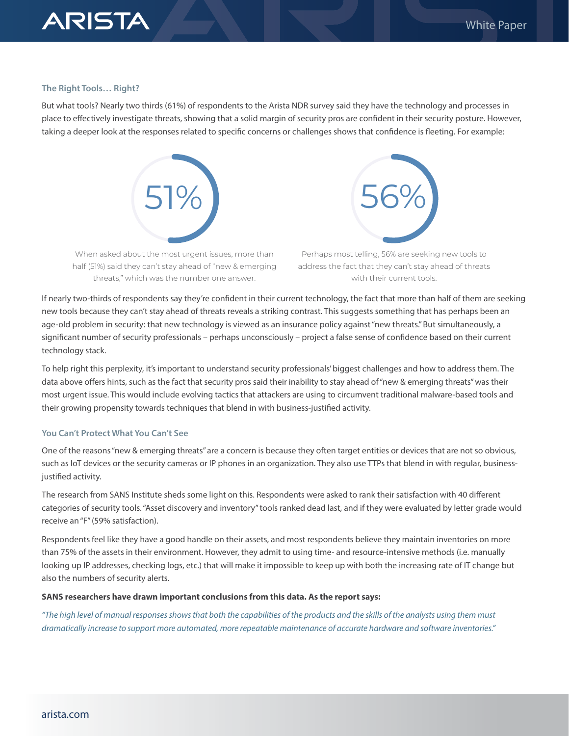## **ARISTA**

#### **The Right Tools… Right?**

But what tools? Nearly two thirds (61%) of respondents to the Arista NDR survey said they have the technology and processes in place to effectively investigate threats, showing that a solid margin of security pros are confident in their security posture. However, taking a deeper look at the responses related to specific concerns or challenges shows that confidence is fleeting. For example:



When asked about the most urgent issues, more than half (51%) said they can't stay ahead of "new & emerging threats," which was the number one answer.



Perhaps most telling, 56% are seeking new tools to address the fact that they can't stay ahead of threats with their current tools.

If nearly two-thirds of respondents say they're confident in their current technology, the fact that more than half of them are seeking new tools because they can't stay ahead of threats reveals a striking contrast. This suggests something that has perhaps been an age-old problem in security: that new technology is viewed as an insurance policy against "new threats." But simultaneously, a significant number of security professionals – perhaps unconsciously – project a false sense of confidence based on their current technology stack.

To help right this perplexity, it's important to understand security professionals' biggest challenges and how to address them. The data above offers hints, such as the fact that security pros said their inability to stay ahead of "new & emerging threats" was their most urgent issue. This would include evolving tactics that attackers are using to circumvent traditional malware-based tools and their growing propensity towards techniques that blend in with business-justified activity.

#### **You Can't Protect What You Can't See**

One of the reasons "new & emerging threats" are a concern is because they often target entities or devices that are not so obvious, such as IoT devices or the security cameras or IP phones in an organization. They also use TTPs that blend in with regular, businessjustified activity.

The research from SANS Institute sheds some light on this. Respondents were asked to rank their satisfaction with 40 different categories of security tools. "Asset discovery and inventory" tools ranked dead last, and if they were evaluated by letter grade would receive an "F" (59% satisfaction).

Respondents feel like they have a good handle on their assets, and most respondents believe they maintain inventories on more than 75% of the assets in their environment. However, they admit to using time- and resource-intensive methods (i.e. manually looking up IP addresses, checking logs, etc.) that will make it impossible to keep up with both the increasing rate of IT change but also the numbers of security alerts.

#### **SANS researchers have drawn important conclusions from this data. As the report says:**

*"The high level of manual responses shows that both the capabilities of the products and the skills of the analysts using them must dramatically increase to support more automated, more repeatable maintenance of accurate hardware and software inventories."*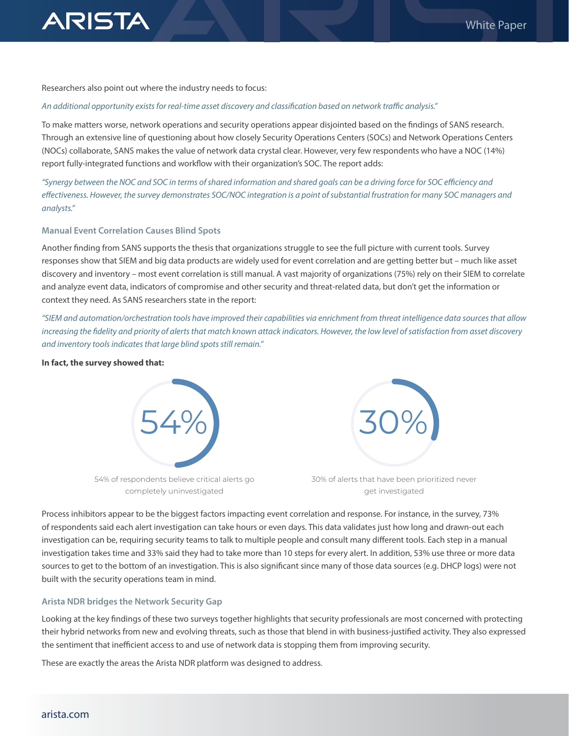

Researchers also point out where the industry needs to focus:

#### *An additional opportunity exists for real-time asset discovery and classification based on network traffic analysis."*

To make matters worse, network operations and security operations appear disjointed based on the findings of SANS research. Through an extensive line of questioning about how closely Security Operations Centers (SOCs) and Network Operations Centers (NOCs) collaborate, SANS makes the value of network data crystal clear. However, very few respondents who have a NOC (14%) report fully-integrated functions and workflow with their organization's SOC. The report adds:

*"Synergy between the NOC and SOC in terms of shared information and shared goals can be a driving force for SOC efficiency and effectiveness. However, the survey demonstrates SOC/NOC integration is a point of substantial frustration for many SOC managers and analysts."*

#### **Manual Event Correlation Causes Blind Spots**

Another finding from SANS supports the thesis that organizations struggle to see the full picture with current tools. Survey responses show that SIEM and big data products are widely used for event correlation and are getting better but – much like asset discovery and inventory – most event correlation is still manual. A vast majority of organizations (75%) rely on their SIEM to correlate and analyze event data, indicators of compromise and other security and threat-related data, but don't get the information or context they need. As SANS researchers state in the report:

*"SIEM and automation/orchestration tools have improved their capabilities via enrichment from threat intelligence data sources that allow increasing the fidelity and priority of alerts that match known attack indicators. However, the low level of satisfaction from asset discovery and inventory tools indicates that large blind spots still remain."*

#### **In fact, the survey showed that:**



54% of respondents believe critical alerts go completely uninvestigated



30% of alerts that have been prioritized never get investigated

Process inhibitors appear to be the biggest factors impacting event correlation and response. For instance, in the survey, 73% of respondents said each alert investigation can take hours or even days. This data validates just how long and drawn-out each investigation can be, requiring security teams to talk to multiple people and consult many different tools. Each step in a manual investigation takes time and 33% said they had to take more than 10 steps for every alert. In addition, 53% use three or more data sources to get to the bottom of an investigation. This is also significant since many of those data sources (e.g. DHCP logs) were not built with the security operations team in mind.

#### **Arista NDR bridges the Network Security Gap**

Looking at the key findings of these two surveys together highlights that security professionals are most concerned with protecting their hybrid networks from new and evolving threats, such as those that blend in with business-justified activity. They also expressed the sentiment that inefficient access to and use of network data is stopping them from improving security.

These are exactly the areas the Arista NDR platform was designed to address.

### [arista.com](http://www.arista.com/en/)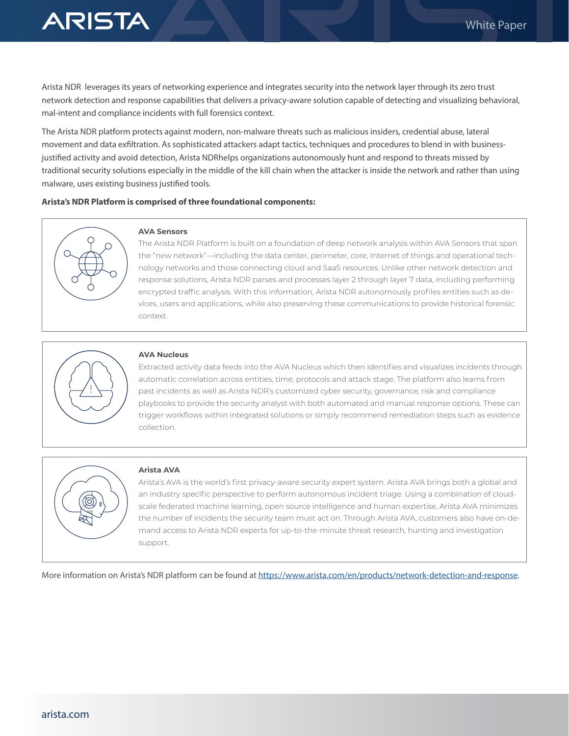

Arista NDR leverages its years of networking experience and integrates security into the network layer through its zero trust network detection and response capabilities that delivers a privacy-aware solution capable of detecting and visualizing behavioral, mal-intent and compliance incidents with full forensics context.

The Arista NDR platform protects against modern, non-malware threats such as malicious insiders, credential abuse, lateral movement and data exfiltration. As sophisticated attackers adapt tactics, techniques and procedures to blend in with businessjustified activity and avoid detection, Arista NDRhelps organizations autonomously hunt and respond to threats missed by traditional security solutions especially in the middle of the kill chain when the attacker is inside the network and rather than using malware, uses existing business justified tools.

#### **Arista's NDR Platform is comprised of three foundational components:**



#### **AVA Sensors**

The Arista NDR Platform is built on a foundation of deep network analysis within AVA Sensors that span the "new network"—including the data center, perimeter, core, Internet of things and operational technology networks and those connecting cloud and SaaS resources. Unlike other network detection and response solutions, Arista NDR parses and processes layer 2 through layer 7 data, including performing encrypted traffic analysis. With this information, Arista NDR autonomously profiles entities such as devices, users and applications, while also preserving these communications to provide historical forensic context.



#### **AVA Nucleus**

Extracted activity data feeds into the AVA Nucleus which then identifies and visualizes incidents through automatic correlation across entities, time, protocols and attack stage. The platform also learns from past incidents as well as Arista NDR's customized cyber security, governance, risk and compliance playbooks to provide the security analyst with both automated and manual response options. These can trigger workflows within integrated solutions or simply recommend remediation steps such as evidence collection.



#### **Arista AVA**

Arista's AVA is the world's first privacy-aware security expert system. Arista AVA brings both a global and an industry specific perspective to perform autonomous incident triage. Using a combination of cloudscale federated machine learning, open source intelligence and human expertise, Arista AVA minimizes the number of incidents the security team must act on. Through Arista AVA, customers also have on-demand access to Arista NDR experts for up-to-the-minute threat research, hunting and investigation support.

More information on Arista's NDR platform can be found at<https://www.arista.com/en/products/network-detection-and-response>.